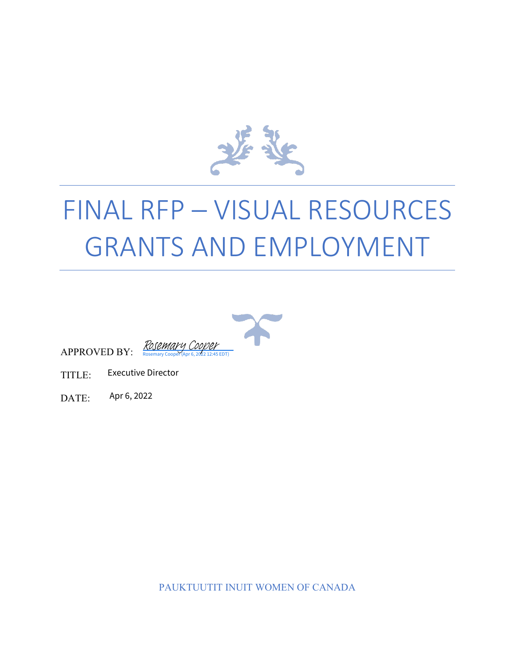

# FINAL RFP – VISUAL RESOURCES GRANTS AND EMPLOYMENT



APPROVED BY:

TITLE: Executive Director

DATE: Apr 6, 2022

PAUKTUUTIT INUIT WOMEN OF CANADA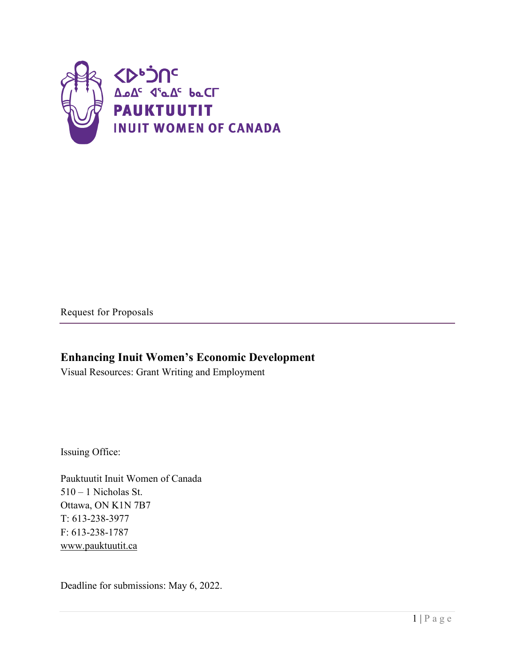

Request for Proposals

#### **Enhancing Inuit Women's Economic Development**

Visual Resources: Grant Writing and Employment

Issuing Office:

Pauktuutit Inuit Women of Canada 510 – 1 Nicholas St. Ottawa, ON K1N 7B7 T: 613-238-3977 F: 613-238-1787 [www.pauktuutit.ca](http://www.pauktuutit.ca/)

Deadline for submissions: May 6, 2022.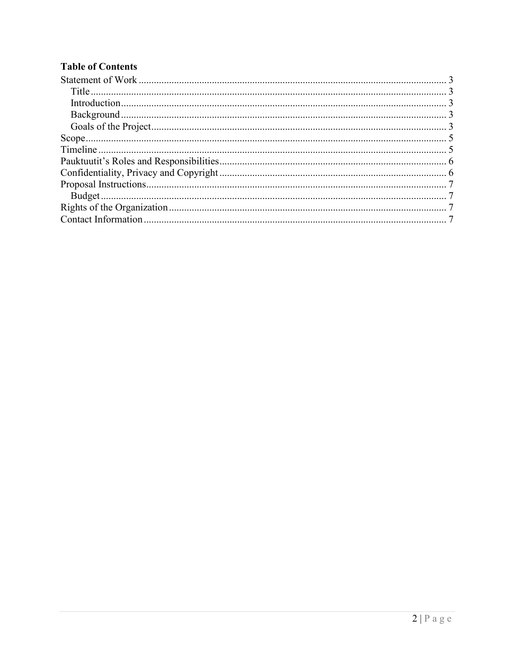#### **Table of Contents**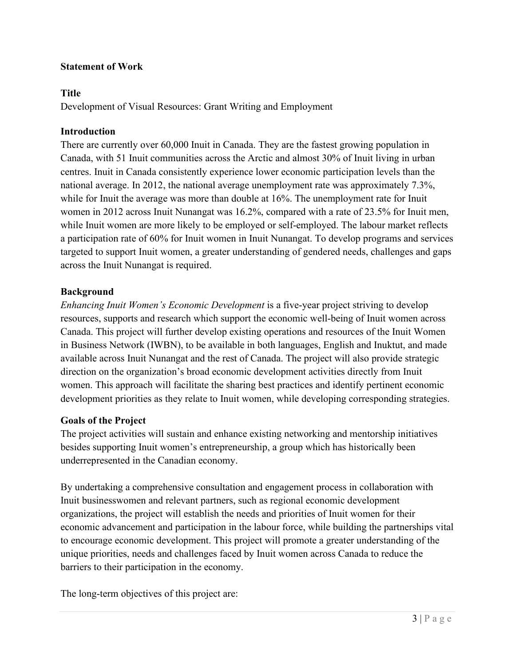#### <span id="page-3-5"></span><span id="page-3-0"></span>**Statement of Work**

#### <span id="page-3-1"></span>**Title**

Development of Visual Resources: Grant Writing and Employment

#### <span id="page-3-2"></span>**Introduction**

There are currently over 60,000 Inuit in Canada. They are the fastest growing population in Canada, with 51 Inuit communities across the Arctic and almost 30% of Inuit living in urban centres. Inuit in Canada consistently experience lower economic participation levels than the national average. In 2012, the national average unemployment rate was approximately 7.3%, while for Inuit the average was more than double at 16%. The unemployment rate for Inuit women in 2012 across Inuit Nunangat was 16.2%, compared with a rate of 23.5% for Inuit men, while Inuit women are more likely to be employed or self-employed. The labour market reflects a participation rate of 60% for Inuit women in Inuit Nunangat. To develop programs and services targeted to support Inuit women, a greater understanding of gendered needs, challenges and gaps across the Inuit Nunangat is required.

#### <span id="page-3-3"></span>**Background**

<span id="page-3-4"></span>*Enhancing Inuit Women's Economic Development* is a five-year project striving to develop resources, supports and research which support the economic well-being of Inuit women across Canada. This project will further develop existing operations and resources of the Inuit Women in Business Network (IWBN), to be available in both languages, English and Inuktut, and made available across Inuit Nunangat and the rest of Canada. The project will also provide strategic direction on the organization's broad economic development activities directly from Inuit women. This approach will facilitate the sharing best practices and identify pertinent economic development priorities as they relate to Inuit women, while developing corresponding strategies.

#### **Goals of the Project**

The project activities will sustain and enhance existing networking and mentorship initiatives besides supporting Inuit women's entrepreneurship, a group which has historically been underrepresented in the Canadian economy.

By undertaking a comprehensive consultation and engagement process in collaboration with Inuit businesswomen and relevant partners, such as regional economic development organizations, the project will establish the needs and priorities of Inuit women for their economic advancement and participation in the labour force, while building the partnerships vital to encourage economic development. This project will promote a greater understanding of the unique priorities, needs and challenges faced by Inuit women across Canada to reduce the barriers to their participation in the economy.

The long-term objectives of this project are: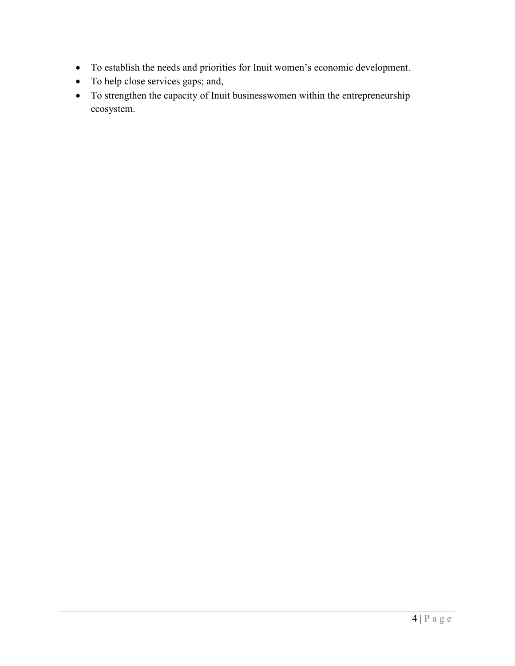- To establish the needs and priorities for Inuit women's economic development.
- To help close services gaps; and,
- To strengthen the capacity of Inuit businesswomen within the entrepreneurship ecosystem.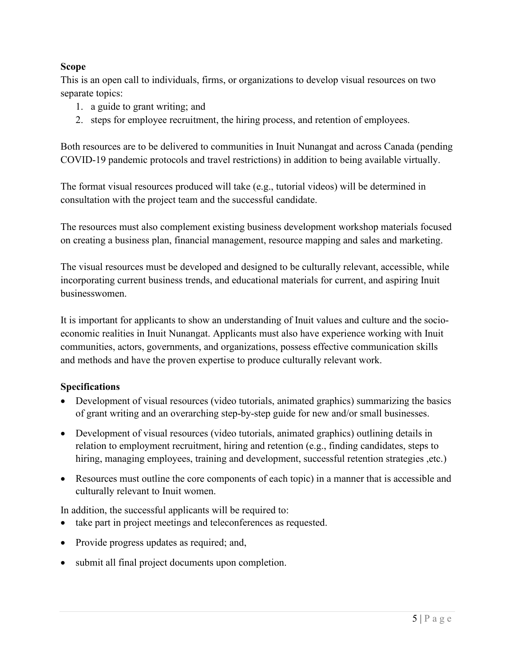#### <span id="page-5-2"></span><span id="page-5-0"></span>**Scope**

This is an open call to individuals, firms, or organizations to develop visual resources on two separate topics:

- 1. a guide to grant writing; and
- 2. steps for employee recruitment, the hiring process, and retention of employees.

Both resources are to be delivered to communities in Inuit Nunangat and across Canada (pending COVID-19 pandemic protocols and travel restrictions) in addition to being available virtually.

The format visual resources produced will take (e.g., tutorial videos) will be determined in consultation with the project team and the successful candidate.

The resources must also complement existing business development workshop materials focused on creating a business plan, financial management, resource mapping and sales and marketing.

The visual resources must be developed and designed to be culturally relevant, accessible, while incorporating current business trends, and educational materials for current, and aspiring Inuit businesswomen.

It is important for applicants to show an understanding of Inuit values and culture and the socioeconomic realities in Inuit Nunangat. Applicants must also have experience working with Inuit communities, actors, governments, and organizations, possess effective communication skills and methods and have the proven expertise to produce culturally relevant work.

#### **Specifications**

- <span id="page-5-1"></span>• Development of visual resources (video tutorials, animated graphics) summarizing the basics of grant writing and an overarching step-by-step guide for new and/or small businesses.
- Development of visual resources (video tutorials, animated graphics) outlining details in relation to employment recruitment, hiring and retention (e.g., finding candidates, steps to hiring, managing employees, training and development, successful retention strategies , etc.)
- Resources must outline the core components of each topic) in a manner that is accessible and culturally relevant to Inuit women.

In addition, the successful applicants will be required to:

- take part in project meetings and teleconferences as requested.
- Provide progress updates as required; and,
- submit all final project documents upon completion.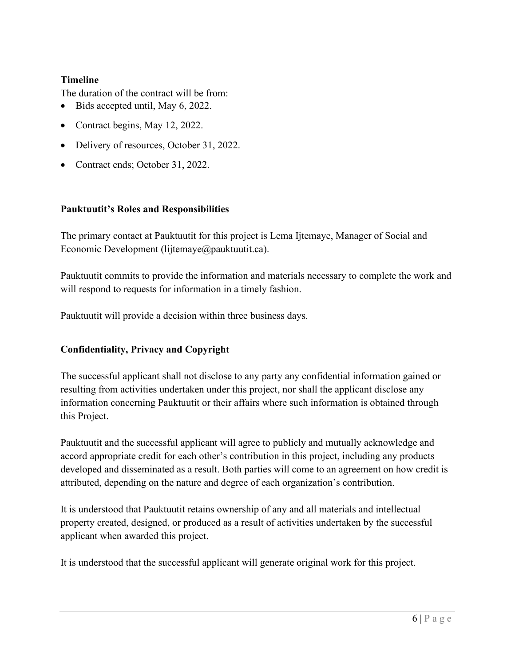#### <span id="page-6-2"></span>**Timeline**

<span id="page-6-0"></span>The duration of the contract will be from:

- Bids accepted until, May 6, 2022.
- Contract begins, May 12, 2022.
- Delivery of resources, October 31, 2022.
- Contract ends; October 31, 2022.

#### **Pauktuutit's Roles and Responsibilities**

The primary contact at Pauktuutit for this project is Lema Ijtemaye, Manager of Social and Economic Development (lijtemaye@pauktuutit.ca).

Pauktuutit commits to provide the information and materials necessary to complete the work and will respond to requests for information in a timely fashion.

<span id="page-6-1"></span>Pauktuutit will provide a decision within three business days.

#### **Confidentiality, Privacy and Copyright**

The successful applicant shall not disclose to any party any confidential information gained or resulting from activities undertaken under this project, nor shall the applicant disclose any information concerning Pauktuutit or their affairs where such information is obtained through this Project.

Pauktuutit and the successful applicant will agree to publicly and mutually acknowledge and accord appropriate credit for each other's contribution in this project, including any products developed and disseminated as a result. Both parties will come to an agreement on how credit is attributed, depending on the nature and degree of each organization's contribution.

It is understood that Pauktuutit retains ownership of any and all materials and intellectual property created, designed, or produced as a result of activities undertaken by the successful applicant when awarded this project.

It is understood that the successful applicant will generate original work for this project.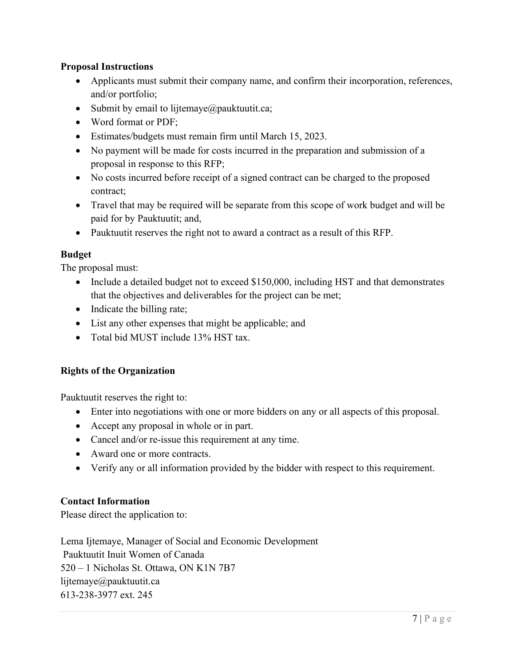#### <span id="page-7-4"></span><span id="page-7-0"></span>**Proposal Instructions**

- Applicants must submit their company name, and confirm their incorporation, references, and/or portfolio;
- Submit by email to lijtemaye $\omega$  pauktuutit.ca;
- Word format or PDF;
- Estimates/budgets must remain firm until March 15, 2023.
- No payment will be made for costs incurred in the preparation and submission of a proposal in response to this RFP;
- No costs incurred before receipt of a signed contract can be charged to the proposed contract;
- Travel that may be required will be separate from this scope of work budget and will be paid for by Pauktuutit; and,
- Pauktuutit reserves the right not to award a contract as a result of this RFP.

#### <span id="page-7-1"></span>**Budget**

The proposal must:

- Include a detailed budget not to exceed \$150,000, including HST and that demonstrates that the objectives and deliverables for the project can be met;
- Indicate the billing rate;
- List any other expenses that might be applicable; and
- Total bid MUST include 13% HST tax.

#### <span id="page-7-2"></span>**Rights of the Organization**

Pauktuutit reserves the right to:

- Enter into negotiations with one or more bidders on any or all aspects of this proposal.
- Accept any proposal in whole or in part.
- Cancel and/or re-issue this requirement at any time.
- Award one or more contracts.
- <span id="page-7-3"></span>• Verify any or all information provided by the bidder with respect to this requirement.

#### **Contact Information**

Please direct the application to:

Lema Ijtemaye, Manager of Social and Economic Development Pauktuutit Inuit Women of Canada 520 – 1 Nicholas St. Ottawa, ON K1N 7B7 lijtemaye@pauktuutit.ca 613-238-3977 ext. 245